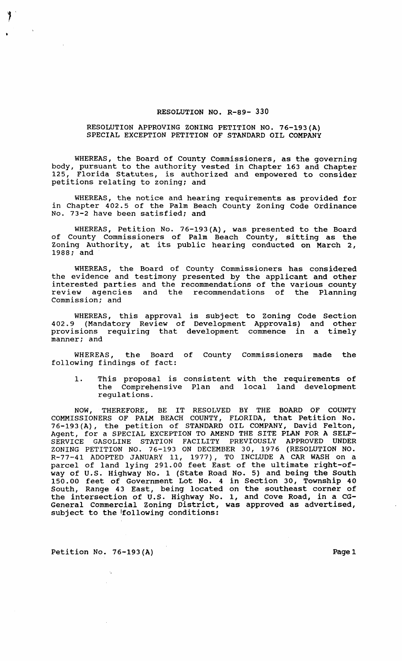## RESOLUTION NO. R-89- 330

## RESOLUTION APPROVING ZONING PETITION NO. 76-193(A) SPECIAL EXCEPTION PETITION OF STANDARD OIL COMPANY

WHEREAS, the Board of County Commissioners, as the governing body, pursuant to the authority vested in Chapter 163 and Chapter<br>125. Florida Statutes, is authorized and empowered to consider Florida Statutes, is authorized and empowered to consider petitions relating to zoning; and

WHEREAS, the notice and hearing requirements as provided for in Chapter 402.5 of the Palm Beach County Zoning Code Ordinance No. 73-2 have been satisfied; and

WHEREAS, Petition No. 76-193(A), was presented to the Board of County Commissioners of Palm Beach County, sitting as the Zoning Authority, at its public hearing conducted on March 2, 1988; and

WHEREAS, the Board of County Commissioners has considered the evidence and testimony presented by the applicant and other interested parties and the recommendations of the various county review agencies and the recommendations of the Planning Commission; and

WHEREAS, this approval is subject to Zoning Code Section 402.9 (Mandatory Review of Development Approvals) and other provisions requiring that development commence in a timely manner; and

WHEREAS, the Board of County Commissioners made the following findings of fact:

1. This proposal is consistent with the requirements of the Comprehensive Plan and local land development regulations.

NOW, THEREFORE, BE IT RESOLVED BY THE BOARD OF COUNTY COMMISSIONERS OF PALM BEACH COUNTY, FLORIDA, that Petition No. 76-193 (A), the petition of STANDARD OIL COMPANY, David Felton, Agent, for a SPECIAL EXCEPTION TO AMEND THE SITE PLAN FOR A SELF-SERVICE GASOLINE STATION FACILITY PREVIOUSLY APPROVED UNDER ZONING PETITION NO. 76-193 ON DECEMBER 30, 1976 (RESOLUTION NO. R-77-41 ADOPTED JANUARY 11, 1977), TO INCLUDE A CAR WASH on a parcel of land lying 291.00 feet East of the ultimate right-ofway of U.S. Highway No. 1 (State Road No.5) and being the South 150.00 feet of Government Lot No. 4 in Section 30, Township 40 South, Range 43 East, being located on the southeast corner of the intersection of U.S. Highway No.1, and Cove Road, in a CG-General Commercial Zoning District, was approved as advertised, subject to the following conditions:

Petition No. 76-193(A) Page 1

y.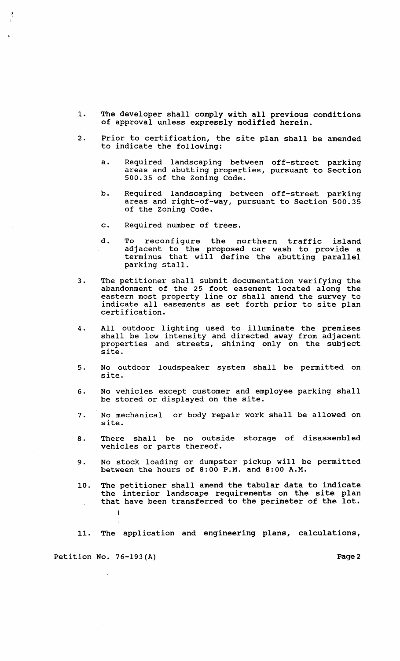- 1. The developer shall comply with all previous conditions of approval unless expressly modified herein.
- 2. Prior to certification, the site plan shall be amended to indicate the following:
	- a. Required landscaping between off-street parking areas and abutting properties, pursuant to section 500.35 of the Zoning Code.
	- b. Required landscaping between off-street parking areas and right-of-way, pursuant to section 500.35 of the Zoning Code.
	- c. Required number of trees.
	- d. To reconfigure the northern traffic island adjacent to the proposed car wash to provide a terminus that will define the abutting parallel parking stall.
- 3. The petitioner shall submit documentation verifying the abandonment of the 25 foot easement located along the eastern most property line or shall amend the survey to indicate all easements as set forth prior to site plan certification.
- 4. All outdoor lighting used to illuminate the premises shall be low intensity and directed away from adjacent properties and streets, shining only on the subject site.
- 5. No outdoor loudspeaker system shall be permitted on site.
- 6. No vehicles except customer and employee parking shall be stored or displayed on the site.
- 7. No mechanical or body repair work shall be allowed on site.
- 8. There shall be no outside storage of disassembled vehicles or parts thereof.
- 9. No stock loading or dumpster pickup will be permitted between the hours of  $8:00$  P.M. and  $8:00$  A.M.
- 10. The petitioner shall amend the tabular data to indicate the interior landscape requirements on the site plan that have been transferred to the perimeter of the lot.  $\mathbf{I}$
- 11. The application and engineering plans, calculations,

Petition No. 76-193(A) Page 2

 $\mathcal{A}_1$ 

 $\frac{1}{4}$ 

 $\sim$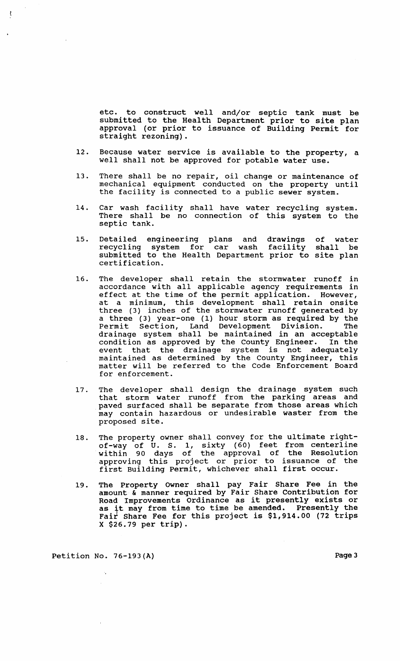etc. to construct well and/or septic tank must be submitted to the Health Department prior to site plan approval (or prior to issuance of Building Permit for straight rezoning).

- 12. Because water service is available to the property, a well shall not be approved for potable water use.
- 13. There shall be no repair, oil change or maintenance of mechanical equipment conducted on the property until the facility is connected to a public sewer system.
- 14. Car wash facility shall have water recycling system. There shall be no connection of this system to the septic tank.
- 15. Detailed engineering plans and drawings recycling system for car wash facility submitted to the Health Department prior to site plan certification. of water shall be
- 16. The developer shall retain the stormwater runoff in accordance with all applicable agency requirements in effect at the time of the permit application. However, at a minimum, this development shall retain onsite three (3) inches of the stormwater runoff generated by a three (3) year-one (1) hour storm as required by the Permit Section, Land Development Division. The drainage system shall be maintained in an acceptable condition as approved by the County Engineer. In the event that the drainage system is not adequately maintained as determined by the County Engineer, this matter will be referred to the Code Enforcement Board for enforcement.
- 17. The developer shall design the drainage system such that storm water runoff from the parking areas and paved surfaced shall be separate from those areas which may contain hazardous or undesirable waster from the proposed site.
- 18. The property owner shall convey for the ultimate rightof-way of U. S. 1, sixty (60) feet from centerline within 90 days of the approval of the Resolution approving this project or prior to issuance of the first Building Permit, whichever shall first occur.
- 19. The Property Owner shall pay Fair Share Fee in the amount & manner required by Fair Share contribution for Road Improvements Ordinance as it presently exists or as it may from time to time be amended. Presently the Fair Share Fee for this project is \$1,914.00 (72 trips X \$26.79 per trip).

Petition No. 76-193(A) Page 3

ţ